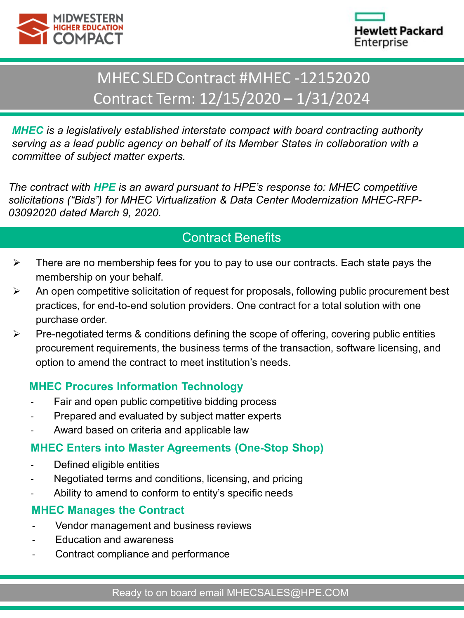



# MHEC SLED Contract #MHEC -12152020 Contract Term: 12/15/2020 – 1/31/2024

*MHEC is a legislatively established interstate compact with board contracting authority serving as a lead public agency on behalf of its Member States in collaboration with a committee of subject matter experts.*

*The contract with HPE is an award pursuant to HPE's response to: MHEC competitive solicitations ("Bids") for MHEC Virtualization & Data Center Modernization MHEC-RFP-03092020 dated March 9, 2020.*

## Contract Benefits

- $\triangleright$  There are no membership fees for you to pay to use our contracts. Each state pays the membership on your behalf.
- $\triangleright$  An open competitive solicitation of request for proposals, following public procurement best practices, for end-to-end solution providers. One contract for a total solution with one purchase order.
- $\triangleright$  Pre-negotiated terms & conditions defining the scope of offering, covering public entities procurement requirements, the business terms of the transaction, software licensing, and option to amend the contract to meet institution's needs.

### **MHEC Procures Information Technology**

- Fair and open public competitive bidding process
- Prepared and evaluated by subject matter experts
- Award based on criteria and applicable law

### **MHEC Enters into Master Agreements (One-Stop Shop)**

- Defined eligible entities
- Negotiated terms and conditions, licensing, and pricing
- Ability to amend to conform to entity's specific needs

### **MHEC Manages the Contract**

- Vendor management and business reviews
- Education and awareness
- Contract compliance and performance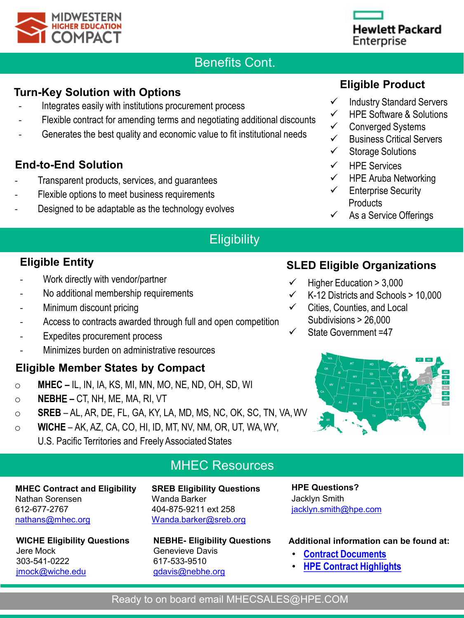

## Benefits Cont.

### **Turn-Key Solution with Options**

- Integrates easily with institutions procurement process
- Flexible contract for amending terms and negotiating additional discounts
- Generates the best quality and economic value to fit institutional needs

### **End-to-End Solution**

- Transparent products, services, and guarantees
- Flexible options to meet business requirements
- Designed to be adaptable as the technology evolves

## **Eligibility**

### **Eligible Entity**

- Work directly with vendor/partner
- No additional membership requirements
- Minimum discount pricing
- Access to contracts awarded through full and open competition
- Expedites procurement process
- Minimizes burden on administrative resources

### **Eligible Member States by Compact**

- o **MHEC –** IL, IN, IA, KS, MI, MN, MO, NE, ND, OH, SD, WI
- o **NEBH**E **–** CT, NH, ME, MA, RI, VT
- o **SREB**  AL, AR, DE, FL, GA, KY, LA, MD, MS, NC, OK, SC, TN, VA,WV
- o **WICHE** AK, AZ, CA, CO, HI, ID, MT, NV, NM, OR, UT, WA,WY, U.S. Pacific Territories and Freely Associated States

### MHEC Resources

#### **MHEC Contract and Eligibility** Nathan Sorensen 612-677-2767 [nathans@mhec.org](mailto:nathans@mhec.org)

**SREB Eligibility Questions** Wanda Barker 404-875-9211 ext 258 [Wanda.barker@sreb.org](mailto:Camille.Martin@sreb.org)

**WICHE Eligibility Questions** Jere Mock 303-541-0222 [jmock@wiche.edu](mailto:jmock@wiche.edu)

#### **NEBHE- Eligibility Questions**  Genevieve Davis 617-533-9510 [gdavis@nebhe.org](mailto:gdavis@nebhe.org)

**HPE Questions?** Jacklyn Smith jacklyn.smith@hpe.com

#### **Additional information can be found at:**

- **[Contract Documents](https://www.mhec.org/contracts/technology)**
- **[HPE Contract Highlights](https://www.mhec.org/contracts/technology/computers/hewlett-packard-enterprise)**

## **Eligible Product**

- $\checkmark$  Industry Standard Servers
- $\checkmark$  HPE Software & Solutions
- Converged Systems
- $\checkmark$  Business Critical Servers
- $\checkmark$  Storage Solutions
- $\checkmark$  HPE Services
- $\checkmark$  HPE Aruba Networking
- $\checkmark$  Enterprise Security **Products**
- As a Service Offerings

## **SLED Eligible Organizations**

- Higher Education > 3,000
- K-12 Districts and Schools > 10,000
- Cities, Counties, and Local Subdivisions > 26,000
	- State Government =47